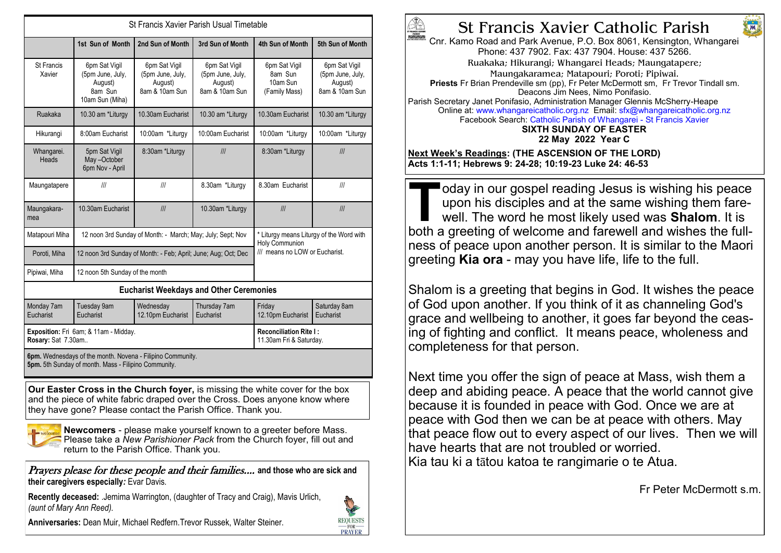| St Francis Xavier Parish Usual Timetable                                                                           |                                                                            |                                                                |                                                                |                                                                                              |                                                                |
|--------------------------------------------------------------------------------------------------------------------|----------------------------------------------------------------------------|----------------------------------------------------------------|----------------------------------------------------------------|----------------------------------------------------------------------------------------------|----------------------------------------------------------------|
|                                                                                                                    | 1st Sun of Month                                                           | 2nd Sun of Month                                               | 3rd Sun of Month                                               | 4th Sun of Month                                                                             | 5th Sun of Month                                               |
| St Francis<br>Xavier                                                                                               | 6pm Sat Vigil<br>(5pm June, July,<br>August)<br>8am Sun<br>10am Sun (Miha) | 6pm Sat Vigil<br>(5pm June, July,<br>August)<br>8am & 10am Sun | 6pm Sat Vigil<br>(5pm June, July,<br>August)<br>8am & 10am Sun | 6pm Sat Vigil<br>8am Sun<br>10am Sun<br>(Family Mass)                                        | 6pm Sat Vigil<br>(5pm June, July,<br>August)<br>8am & 10am Sun |
| Ruakaka                                                                                                            | 10.30 am *Liturgy                                                          | 10.30am Eucharist                                              | 10.30 am *Liturgy                                              | 10.30am Eucharist                                                                            | 10.30 am *Liturgy                                              |
| Hikurangi                                                                                                          | 8:00am Eucharist                                                           | 10:00am *Liturgy                                               | 10:00am Eucharist                                              | 10:00am *Liturgy                                                                             | 10:00am *Liturgy                                               |
| Whangarei.<br>Heads                                                                                                | 5pm Sat Vigil<br>May-October<br>6pm Nov - April                            | 8:30am *Liturgy                                                | III                                                            | 8:30am *Liturgy                                                                              | III                                                            |
| Maungatapere                                                                                                       | III                                                                        | III                                                            | 8.30am *Liturgy                                                | 8.30am Eucharist                                                                             | III                                                            |
| Maungakara-<br>mea                                                                                                 | 10.30am Eucharist                                                          | III                                                            | 10.30am *Liturgy                                               | III                                                                                          | III                                                            |
| Matapouri Miha                                                                                                     | 12 noon 3rd Sunday of Month: - March; May; July; Sept; Nov                 |                                                                |                                                                | * Liturgy means Liturgy of the Word with<br>Holy Communion<br>III means no LOW or Eucharist. |                                                                |
| Poroti, Miha                                                                                                       | 12 noon 3rd Sunday of Month: - Feb; April; June; Aug; Oct; Dec             |                                                                |                                                                |                                                                                              |                                                                |
| Pipiwai, Miha                                                                                                      | 12 noon 5th Sunday of the month                                            |                                                                |                                                                |                                                                                              |                                                                |
| <b>Eucharist Weekdays and Other Ceremonies</b>                                                                     |                                                                            |                                                                |                                                                |                                                                                              |                                                                |
| Monday 7am<br>Eucharist                                                                                            | <b>Tuesday 9am</b><br>Fucharist                                            | Wednesday<br>12.10pm Eucharist                                 | Thursday 7am<br>Eucharist                                      | Friday<br>12.10pm Eucharist                                                                  | Saturday 8am<br>Eucharist                                      |
| Exposition: Fri 6am; & 11am - Midday.<br>Rosary: Sat 7.30am                                                        |                                                                            |                                                                |                                                                | <b>Reconciliation Rite I:</b><br>11.30am Fri & Saturday.                                     |                                                                |
| 6pm. Wednesdays of the month. Novena - Filipino Community.<br>5pm. 5th Sunday of month. Mass - Filipino Community. |                                                                            |                                                                |                                                                |                                                                                              |                                                                |

**Our Easter Cross in the Church foyer,** is missing the white cover for the box and the piece of white fabric draped over the Cross. Does anyone know where they have gone? Please contact the Parish Office. Thank you.



**Newcomers** - please make yourself known to a greeter before Mass. Please take a *New Parishioner Pack* from the Church foyer, fill out and return to the Parish Office. Thank you.

Prayers please for these people and their families.... **and those who are sick and their caregivers especially***:* Evar Davis*.*

**Recently deceased:** .Jemima Warrington, (daughter of Tracy and Craig), Mavis Urlich, *(aunt of Mary Ann Reed).*



**Anniversaries:** Dean Muir, Michael Redfern.Trevor Russek, Walter Steiner.



## St Francis Xavier Catholic Parish

Chr. Kamo Road and Park Avenue, P.O. Box 8061, Kensington, Whangarei Phone: 437 7902. Fax: 437 7904. House: 437 5266. Ruakaka; Hikurangi; Whangarei Heads; Maungatapere; Maungakaramea; Matapouri; Poroti; Pipiwai. **Priests** Fr Brian Prendeville sm (pp), Fr Peter McDermott sm, Fr Trevor Tindall sm. Deacons Jim Nees, Nimo Ponifasio. Parish Secretary Janet Ponifasio, Administration Manager Glennis McSherry-Heape Online at: www.whangareicatholic.org.nz Email: sfx@whangareicatholic.org.nz Facebook Search: Catholic Parish of Whangarei - St Francis Xavier **SIXTH SUNDAY OF EASTER 22 May 2022 Year C Next Week's Readings: (THE ASCENSION OF THE LORD)**

**Acts 1:1-11; Hebrews 9: 24-28; 10:19-23 Luke 24: 46-53**

**TALL COLLET SAMULTER STARK IS WE are determined and set of well. The word he most likely used was <b>Shalom**. It is both a greeting of welcome and farewell and wishes the fulldoday in our gospel reading Jesus is wishing his peace upon his disciples and at the same wishing them farewell. The word he most likely used was **Shalom**. It is ness of peace upon another person. It is similar to the Maori greeting **Kia ora** - may you have life, life to the full.

Shalom is a greeting that begins in God. It wishes the peace of God upon another. If you think of it as channeling God's grace and wellbeing to another, it goes far beyond the ceasing of fighting and conflict. It means peace, wholeness and completeness for that person.

Next time you offer the sign of peace at Mass, wish them a deep and abiding peace. A peace that the world cannot give because it is founded in peace with God. Once we are at peace with God then we can be at peace with others. May that peace flow out to every aspect of our lives. Then we will have hearts that are not troubled or worried. Kia tau ki a tātou katoa te rangimarie o te Atua.

Fr Peter McDermott s.m.